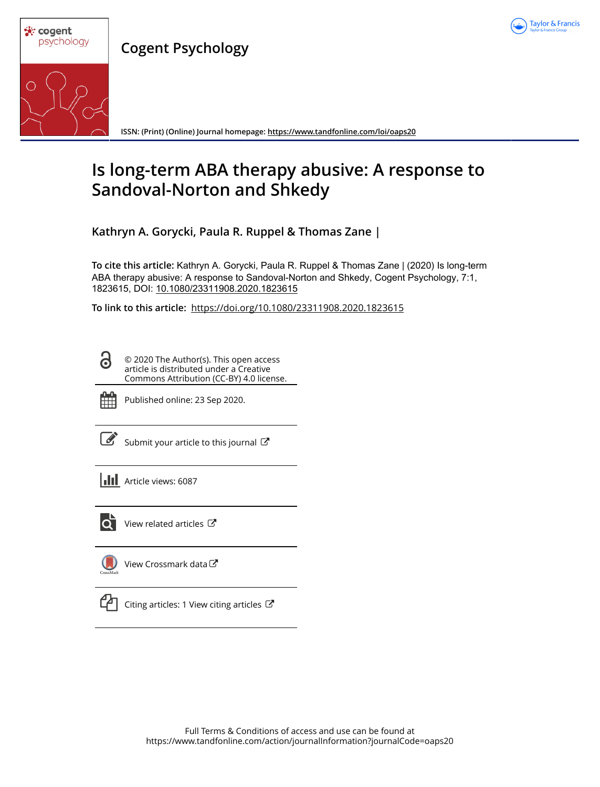

**Cogent Psychology**



**ISSN: (Print) (Online) Journal homepage:<https://www.tandfonline.com/loi/oaps20>**

# **Is long-term ABA therapy abusive: A response to Sandoval-Norton and Shkedy**

**Kathryn A. Gorycki, Paula R. Ruppel & Thomas Zane |**

**To cite this article:** Kathryn A. Gorycki, Paula R. Ruppel & Thomas Zane | (2020) Is long-term ABA therapy abusive: A response to Sandoval-Norton and Shkedy, Cogent Psychology, 7:1, 1823615, DOI: [10.1080/23311908.2020.1823615](https://www.tandfonline.com/action/showCitFormats?doi=10.1080/23311908.2020.1823615)

**To link to this article:** <https://doi.org/10.1080/23311908.2020.1823615>

© 2020 The Author(s). This open access article is distributed under a Creative Commons Attribution (CC-BY) 4.0 license.



6

Published online: 23 Sep 2020.

[Submit your article to this journal](https://www.tandfonline.com/action/authorSubmission?journalCode=oaps20&show=instructions)  $\mathbb{Z}$ 

**Article views: 6087** 



 $\overline{Q}$  [View related articles](https://www.tandfonline.com/doi/mlt/10.1080/23311908.2020.1823615)  $\overline{C}$ 

[View Crossmark data](http://crossmark.crossref.org/dialog/?doi=10.1080/23311908.2020.1823615&domain=pdf&date_stamp=2020-09-23)<sup>C</sup>



 $\Box$  [Citing articles: 1 View citing articles](https://www.tandfonline.com/doi/citedby/10.1080/23311908.2020.1823615#tabModule)  $\Box$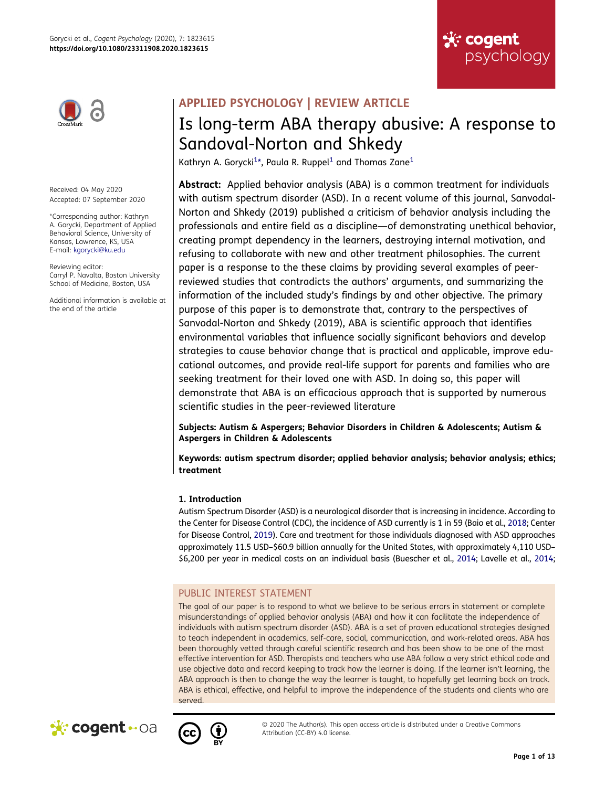



Received: 04 May 2020 Accepted: 07 September 2020

\*Corresponding author: Kathryn A. Gorycki, Department of Applied Behavioral Science, University of Kansas, Lawrence, KS, USA E-mail: kgorycki@ku.edu

Reviewing editor: Carryl P. Navalta, Boston University School of Medicine, Boston, USA

Additional information is available at the end of the article

## **APPLIED PSYCHOLOGY | REVIEW ARTICLE**

## Is long-term ABA therapy abusive: A response to Sandoval-Norton and Shkedy

<span id="page-1-0"></span>Kathryn A. Gorycki $^{1\star}$  $^{1\star}$  $^{1\star}$ , Paula R. Ruppel $^{1}$  and Thomas Zane $^{1}$ 

**Abstract:** Applied behavior analysis (ABA) is a common treatment for individuals with autism spectrum disorder (ASD). In a recent volume of this journal, Sanvodal-Norton and Shkedy (2019) published a criticism of behavior analysis including the professionals and entire field as a discipline—of demonstrating unethical behavior, creating prompt dependency in the learners, destroying internal motivation, and refusing to collaborate with new and other treatment philosophies. The current paper is a response to the these claims by providing several examples of peerreviewed studies that contradicts the authors' arguments, and summarizing the information of the included study's findings by and other objective. The primary purpose of this paper is to demonstrate that, contrary to the perspectives of Sanvodal-Norton and Shkedy (2019), ABA is scientific approach that identifies environmental variables that influence socially significant behaviors and develop strategies to cause behavior change that is practical and applicable, improve educational outcomes, and provide real-life support for parents and families who are seeking treatment for their loved one with ASD. In doing so, this paper will demonstrate that ABA is an efficacious approach that is supported by numerous scientific studies in the peer-reviewed literature

**Subjects: Autism & Aspergers; Behavior Disorders in Children & Adolescents; Autism & Aspergers in Children & Adolescents** 

**Keywords: autism spectrum disorder; applied behavior analysis; behavior analysis; ethics; treatment**

## **1. Introduction**

<span id="page-1-3"></span><span id="page-1-1"></span>Autism Spectrum Disorder (ASD) is a neurological disorder that is increasing in incidence. According to the Center for Disease Control (CDC), the incidence of ASD currently is 1 in 59 (Baio et al., [2018;](#page-10-1) Center for Disease Control, [2019\)](#page-10-2). Care and treatment for those individuals diagnosed with ASD approaches approximately 11.5 USD–\$60.9 billion annually for the United States, with approximately 4,110 USD– \$6,200 per year in medical costs on an individual basis (Buescher et al., [2014;](#page-10-3) Lavelle et al., [2014](#page-11-0);

## <span id="page-1-2"></span>PUBLIC INTEREST STATEMENT

The goal of our paper is to respond to what we believe to be serious errors in statement or complete misunderstandings of applied behavior analysis (ABA) and how it can facilitate the independence of individuals with autism spectrum disorder (ASD). ABA is a set of proven educational strategies designed to teach independent in academics, self-care, social, communication, and work-related areas. ABA has been thoroughly vetted through careful scientific research and has been show to be one of the most effective intervention for ASD. Therapists and teachers who use ABA follow a very strict ethical code and use objective data and record keeping to track how the learner is doing. If the learner isn't learning, the ABA approach is then to change the way the learner is taught, to hopefully get learning back on track. ABA is ethical, effective, and helpful to improve the independence of the students and clients who are served.



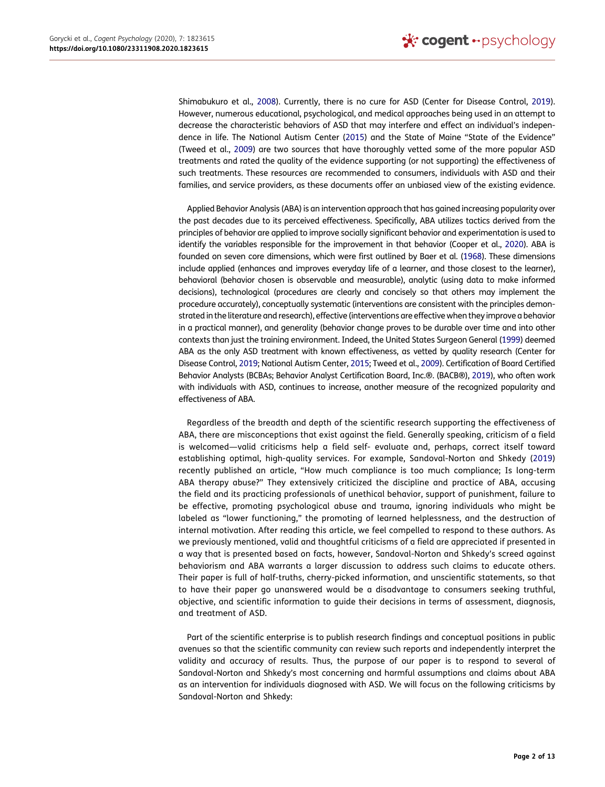<span id="page-2-5"></span>Shimabukuro et al., [2008\)](#page-12-0). Currently, there is no cure for ASD (Center for Disease Control, [2019\)](#page-10-2). However, numerous educational, psychological, and medical approaches being used in an attempt to decrease the characteristic behaviors of ASD that may interfere and effect an individual's independence in life. The National Autism Center [\(2015](#page-11-1)) and the State of Maine "State of the Evidence" (Tweed et al., [2009\)](#page-12-1) are two sources that have thoroughly vetted some of the more popular ASD treatments and rated the quality of the evidence supporting (or not supporting) the effectiveness of such treatments. These resources are recommended to consumers, individuals with ASD and their families, and service providers, as these documents offer an unbiased view of the existing evidence.

<span id="page-2-2"></span><span id="page-2-0"></span>Applied Behavior Analysis (ABA) is an intervention approach that has gained increasing popularity over the past decades due to its perceived effectiveness. Specifically, ABA utilizes tactics derived from the principles of behavior are applied to improve socially significant behavior and experimentation is used to identify the variables responsible for the improvement in that behavior (Cooper et al., [2020](#page-11-2)). ABA is founded on seven core dimensions, which were first outlined by Baer et al. ([1968](#page-10-4)). These dimensions include applied (enhances and improves everyday life of a learner, and those closest to the learner), behavioral (behavior chosen is observable and measurable), analytic (using data to make informed decisions), technological (procedures are clearly and concisely so that others may implement the procedure accurately), conceptually systematic (interventions are consistent with the principles demonstrated in the literature and research), effective (interventions are effective when they improve a behavior in a practical manner), and generality (behavior change proves to be durable over time and into other contexts than just the training environment. Indeed, the United States Surgeon General ([1999](#page-12-2)) deemed ABA as the only ASD treatment with known effectiveness, as vetted by quality research (Center for Disease Control, [2019;](#page-10-2) National Autism Center, [2015;](#page-11-1) Tweed et al., [2009\)](#page-12-1). Certification of Board Certified Behavior Analysts (BCBAs; Behavior Analyst Certification Board, Inc.®. (BACB®), [2019](#page-10-5)), who often work with individuals with ASD, continues to increase, another measure of the recognized popularity and effectiveness of ABA.

<span id="page-2-6"></span><span id="page-2-4"></span><span id="page-2-3"></span><span id="page-2-1"></span>Regardless of the breadth and depth of the scientific research supporting the effectiveness of ABA, there are misconceptions that exist against the field. Generally speaking, criticism of a field is welcomed—valid criticisms help a field self- evaluate and, perhaps, correct itself toward establishing optimal, high-quality services. For example, Sandoval-Norton and Shkedy ([2019\)](#page-12-3) recently published an article, "How much compliance is too much compliance; Is long-term ABA therapy abuse?" They extensively criticized the discipline and practice of ABA, accusing the field and its practicing professionals of unethical behavior, support of punishment, failure to be effective, promoting psychological abuse and trauma, ignoring individuals who might be labeled as "lower functioning," the promoting of learned helplessness, and the destruction of internal motivation. After reading this article, we feel compelled to respond to these authors. As we previously mentioned, valid and thoughtful criticisms of a field are appreciated if presented in a way that is presented based on facts, however, Sandoval-Norton and Shkedy's screed against behaviorism and ABA warrants a larger discussion to address such claims to educate others. Their paper is full of half-truths, cherry-picked information, and unscientific statements, so that to have their paper go unanswered would be a disadvantage to consumers seeking truthful, objective, and scientific information to guide their decisions in terms of assessment, diagnosis, and treatment of ASD.

Part of the scientific enterprise is to publish research findings and conceptual positions in public avenues so that the scientific community can review such reports and independently interpret the validity and accuracy of results. Thus, the purpose of our paper is to respond to several of Sandoval-Norton and Shkedy's most concerning and harmful assumptions and claims about ABA as an intervention for individuals diagnosed with ASD. We will focus on the following criticisms by Sandoval-Norton and Shkedy: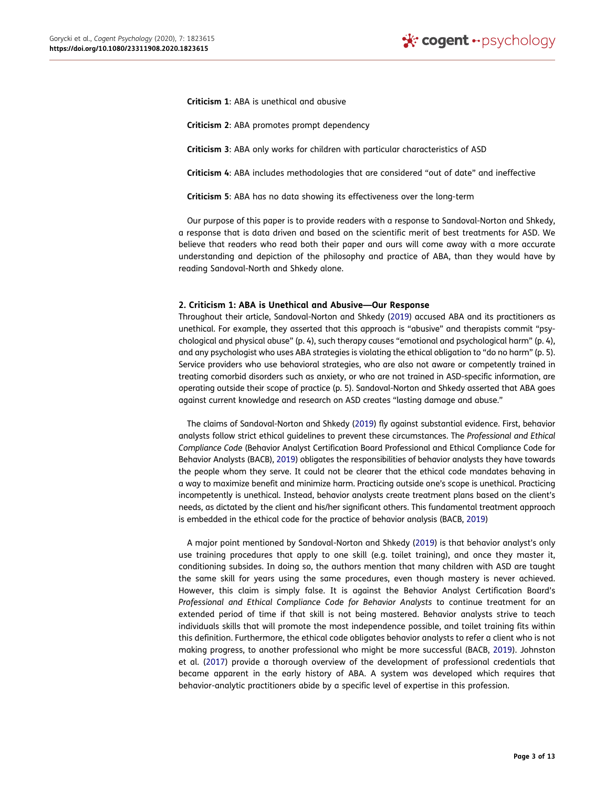**Criticism 1**: ABA is unethical and abusive

**Criticism 2**: ABA promotes prompt dependency

**Criticism 3**: ABA only works for children with particular characteristics of ASD

**Criticism 4**: ABA includes methodologies that are considered "out of date" and ineffective

**Criticism 5**: ABA has no data showing its effectiveness over the long-term

Our purpose of this paper is to provide readers with a response to Sandoval-Norton and Shkedy, a response that is data driven and based on the scientific merit of best treatments for ASD. We believe that readers who read both their paper and ours will come away with a more accurate understanding and depiction of the philosophy and practice of ABA, than they would have by reading Sandoval-North and Shkedy alone.

#### **2. Criticism 1: ABA is Unethical and Abusive—Our Response**

Throughout their article, Sandoval-Norton and Shkedy [\(2019](#page-12-3)) accused ABA and its practitioners as unethical. For example, they asserted that this approach is "abusive" and therapists commit "psychological and physical abuse" (p. 4), such therapy causes "emotional and psychological harm" (p. 4), and any psychologist who uses ABA strategies is violating the ethical obligation to "do no harm" (p. 5). Service providers who use behavioral strategies, who are also not aware or competently trained in treating comorbid disorders such as anxiety, or who are not trained in ASD-specific information, are operating outside their scope of practice (p. 5). Sandoval-Norton and Shkedy asserted that ABA goes against current knowledge and research on ASD creates "lasting damage and abuse."

The claims of Sandoval-Norton and Shkedy [\(2019](#page-12-3)) fly against substantial evidence. First, behavior analysts follow strict ethical guidelines to prevent these circumstances. The *Professional and Ethical Compliance Code* (Behavior Analyst Certification Board Professional and Ethical Compliance Code for Behavior Analysts (BACB), [2019\)](#page-10-5) obligates the responsibilities of behavior analysts they have towards the people whom they serve. It could not be clearer that the ethical code mandates behaving in a way to maximize benefit and minimize harm. Practicing outside one's scope is unethical. Practicing incompetently is unethical. Instead, behavior analysts create treatment plans based on the client's needs, as dictated by the client and his/her significant others. This fundamental treatment approach is embedded in the ethical code for the practice of behavior analysis (BACB, [2019\)](#page-10-5)

<span id="page-3-0"></span>A major point mentioned by Sandoval-Norton and Shkedy [\(2019\)](#page-12-3) is that behavior analyst's only use training procedures that apply to one skill (e.g. toilet training), and once they master it, conditioning subsides. In doing so, the authors mention that many children with ASD are taught the same skill for years using the same procedures, even though mastery is never achieved. However, this claim is simply false. It is against the Behavior Analyst Certification Board's *Professional and Ethical Compliance Code for Behavior Analysts* to continue treatment for an extended period of time if that skill is not being mastered. Behavior analysts strive to teach individuals skills that will promote the most independence possible, and toilet training fits within this definition. Furthermore, the ethical code obligates behavior analysts to refer a client who is not making progress, to another professional who might be more successful (BACB, [2019](#page-10-5)). Johnston et al. [\(2017\)](#page-11-3) provide a thorough overview of the development of professional credentials that became apparent in the early history of ABA. A system was developed which requires that behavior-analytic practitioners abide by a specific level of expertise in this profession.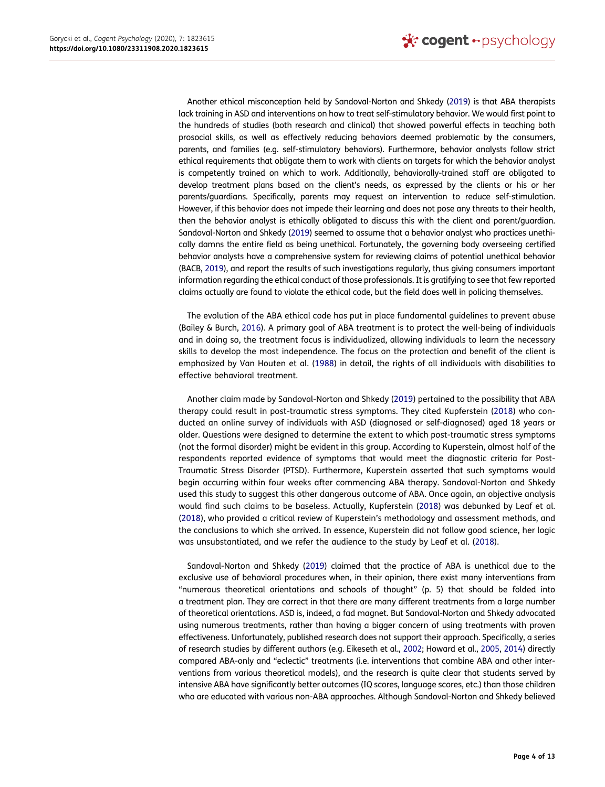Another ethical misconception held by Sandoval-Norton and Shkedy ([2019](#page-12-3)) is that ABA therapists lack training in ASD and interventions on how to treat self-stimulatory behavior. We would first point to the hundreds of studies (both research and clinical) that showed powerful effects in teaching both prosocial skills, as well as effectively reducing behaviors deemed problematic by the consumers, parents, and families (e.g. self-stimulatory behaviors). Furthermore, behavior analysts follow strict ethical requirements that obligate them to work with clients on targets for which the behavior analyst is competently trained on which to work. Additionally, behaviorally-trained staff are obligated to develop treatment plans based on the client's needs, as expressed by the clients or his or her parents/guardians. Specifically, parents may request an intervention to reduce self-stimulation. However, if this behavior does not impede their learning and does not pose any threats to their health, then the behavior analyst is ethically obligated to discuss this with the client and parent/guardian. Sandoval-Norton and Shkedy [\(2019\)](#page-12-3) seemed to assume that a behavior analyst who practices unethically damns the entire field as being unethical. Fortunately, the governing body overseeing certified behavior analysts have a comprehensive system for reviewing claims of potential unethical behavior (BACB, [2019](#page-10-5)), and report the results of such investigations regularly, thus giving consumers important information regarding the ethical conduct of those professionals. It is gratifying to see that few reported claims actually are found to violate the ethical code, but the field does well in policing themselves.

<span id="page-4-0"></span>The evolution of the ABA ethical code has put in place fundamental guidelines to prevent abuse (Bailey & Burch, [2016\)](#page-10-6). A primary goal of ABA treatment is to protect the well-being of individuals and in doing so, the treatment focus is individualized, allowing individuals to learn the necessary skills to develop the most independence. The focus on the protection and benefit of the client is emphasized by Van Houten et al. [\(1988\)](#page-12-4) in detail, the rights of all individuals with disabilities to effective behavioral treatment.

<span id="page-4-4"></span>Another claim made by Sandoval-Norton and Shkedy ([2019](#page-12-3)) pertained to the possibility that ABA therapy could result in post-traumatic stress symptoms. They cited Kupferstein [\(2018\)](#page-11-4) who conducted an online survey of individuals with ASD (diagnosed or self-diagnosed) aged 18 years or older. Questions were designed to determine the extent to which post-traumatic stress symptoms (not the formal disorder) might be evident in this group. According to Kuperstein, almost half of the respondents reported evidence of symptoms that would meet the diagnostic criteria for Post-Traumatic Stress Disorder (PTSD). Furthermore, Kuperstein asserted that such symptoms would begin occurring within four weeks after commencing ABA therapy. Sandoval-Norton and Shkedy used this study to suggest this other dangerous outcome of ABA. Once again, an objective analysis would find such claims to be baseless. Actually, Kupferstein [\(2018\)](#page-11-4) was debunked by Leaf et al. ([2018](#page-11-5)), who provided a critical review of Kuperstein's methodology and assessment methods, and the conclusions to which she arrived. In essence, Kuperstein did not follow good science, her logic was unsubstantiated, and we refer the audience to the study by Leaf et al. ([2018](#page-11-5)).

<span id="page-4-3"></span><span id="page-4-2"></span><span id="page-4-1"></span>Sandoval-Norton and Shkedy ([2019\)](#page-12-3) claimed that the practice of ABA is unethical due to the exclusive use of behavioral procedures when, in their opinion, there exist many interventions from "numerous theoretical orientations and schools of thought" (p. 5) that should be folded into a treatment plan. They are correct in that there are many different treatments from a large number of theoretical orientations. ASD is, indeed, a fad magnet. But Sandoval-Norton and Shkedy advocated using numerous treatments, rather than having a bigger concern of using treatments with proven effectiveness. Unfortunately, published research does not support their approach. Specifically, a series of research studies by different authors (e.g. Eikeseth et al., [2002](#page-11-6); Howard et al., [2005](#page-11-7), [2014\)](#page-11-8) directly compared ABA-only and "eclectic" treatments (i.e. interventions that combine ABA and other interventions from various theoretical models), and the research is quite clear that students served by intensive ABA have significantly better outcomes (IQ scores, language scores, etc.) than those children who are educated with various non-ABA approaches. Although Sandoval-Norton and Shkedy believed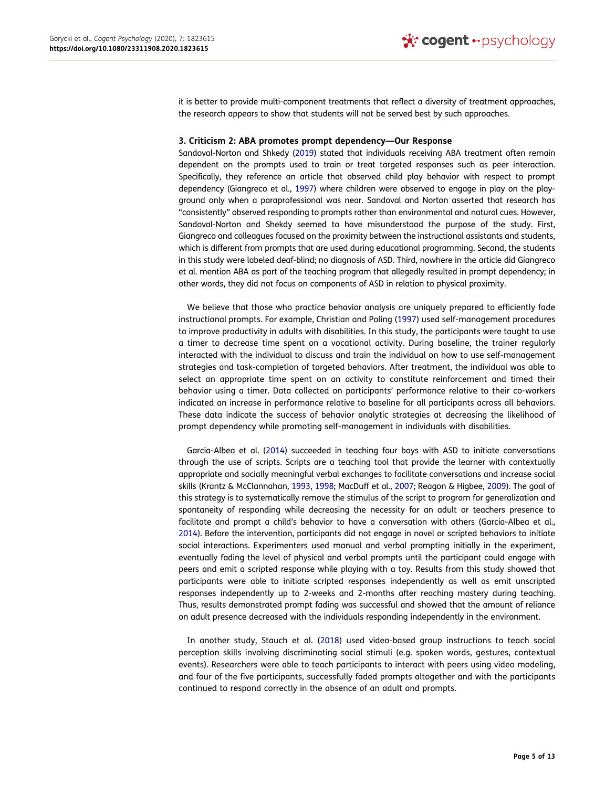it is better to provide multi-component treatments that reflect a diversity of treatment approaches, the research appears to show that students will not be served best by such approaches.

#### **3. Criticism 2: ABA promotes prompt dependency—Our Response**

<span id="page-5-2"></span>Sandoval-Norton and Shkedy [\(2019](#page-12-3)) stated that individuals receiving ABA treatment often remain dependent on the prompts used to train or treat targeted responses such as peer interaction. Specifically, they reference an article that observed child play behavior with respect to prompt dependency (Giangreco et al., [1997](#page-11-9)) where children were observed to engage in play on the playground only when a paraprofessional was near. Sandoval and Norton asserted that research has "consistently" observed responding to prompts rather than environmental and natural cues. However, Sandoval-Norton and Shekdy seemed to have misunderstood the purpose of the study. First, Giangreco and colleagues focused on the proximity between the instructional assistants and students, which is different from prompts that are used during educational programming. Second, the students in this study were labeled deaf-blind; no diagnosis of ASD. Third, nowhere in the article did Giangreco et al. mention ABA as part of the teaching program that allegedly resulted in prompt dependency; in other words, they did not focus on components of ASD in relation to physical proximity.

<span id="page-5-0"></span>We believe that those who practice behavior analysis are uniquely prepared to efficiently fade instructional prompts. For example, Christian and Poling [\(1997\)](#page-11-10) used self-management procedures to improve productivity in adults with disabilities. In this study, the participants were taught to use a timer to decrease time spent on a vocational activity. During baseline, the trainer regularly interacted with the individual to discuss and train the individual on how to use self-management strategies and task-completion of targeted behaviors. After treatment, the individual was able to select an appropriate time spent on an activity to constitute reinforcement and timed their behavior using a timer. Data collected on participants' performance relative to their co-workers indicated an increase in performance relative to baseline for all participants across all behaviors. These data indicate the success of behavior analytic strategies at decreasing the likelihood of prompt dependency while promoting self-management in individuals with disabilities.

<span id="page-5-3"></span><span id="page-5-1"></span>Garcia-Albea et al. ([2014\)](#page-11-11) succeeded in teaching four boys with ASD to initiate conversations through the use of scripts. Scripts are a teaching tool that provide the learner with contextually appropriate and socially meaningful verbal exchanges to facilitate conversations and increase social skills (Krantz & McClannahan, [1993,](#page-11-12) [1998](#page-11-13); MacDuff et al., [2007;](#page-11-14) Reagon & Higbee, [2009\)](#page-11-15). The goal of this strategy is to systematically remove the stimulus of the script to program for generalization and spontaneity of responding while decreasing the necessity for an adult or teachers presence to facilitate and prompt a child's behavior to have a conversation with others (Garcia-Albea et al., [2014](#page-11-11)). Before the intervention, participants did not engage in novel or scripted behaviors to initiate social interactions. Experimenters used manual and verbal prompting initially in the experiment, eventually fading the level of physical and verbal prompts until the participant could engage with peers and emit a scripted response while playing with a toy. Results from this study showed that participants were able to initiate scripted responses independently as well as emit unscripted responses independently up to 2-weeks and 2-months after reaching mastery during teaching. Thus, results demonstrated prompt fading was successful and showed that the amount of reliance on adult presence decreased with the individuals responding independently in the environment.

<span id="page-5-4"></span>In another study, Stauch et al. ([2018\)](#page-12-5) used video-based group instructions to teach social perception skills involving discriminating social stimuli (e.g. spoken words, gestures, contextual events). Researchers were able to teach participants to interact with peers using video modeling, and four of the five participants, successfully faded prompts altogether and with the participants continued to respond correctly in the absence of an adult and prompts.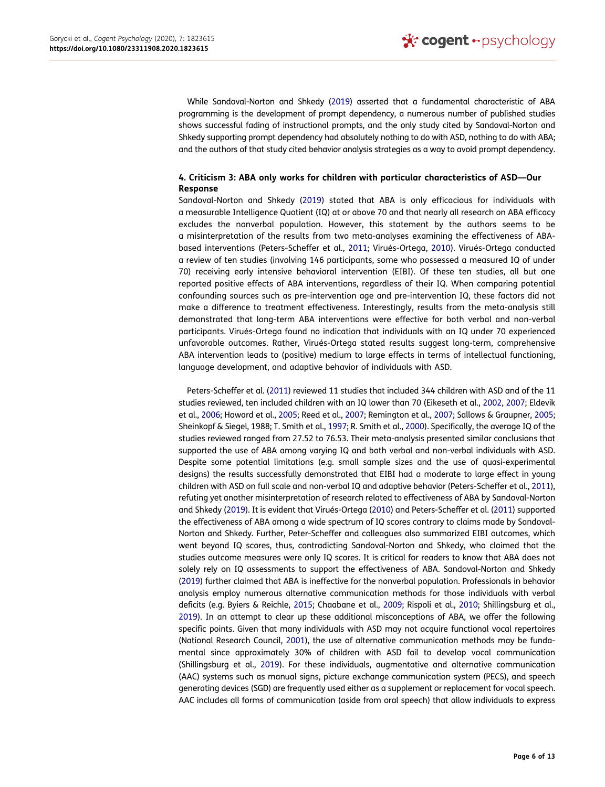While Sandoval-Norton and Shkedy ([2019](#page-12-3)) asserted that a fundamental characteristic of ABA programming is the development of prompt dependency, a numerous number of published studies shows successful fading of instructional prompts, and the only study cited by Sandoval-Norton and Shkedy supporting prompt dependency had absolutely nothing to do with ASD, nothing to do with ABA; and the authors of that study cited behavior analysis strategies as a way to avoid prompt dependency.

### **4. Criticism 3: ABA only works for children with particular characteristics of ASD—Our Response**

Sandoval-Norton and Shkedy ([2019](#page-12-3)) stated that ABA is only efficacious for individuals with a measurable Intelligence Quotient (IQ) at or above 70 and that nearly all research on ABA efficacy excludes the nonverbal population. However, this statement by the authors seems to be a misinterpretation of the results from two meta-analyses examining the effectiveness of ABAbased interventions (Peters-Scheffer et al., [2011](#page-11-16); Virués-Ortega, [2010\)](#page-12-6). Virués-Ortega conducted a review of ten studies (involving 146 participants, some who possessed a measured IQ of under 70) receiving early intensive behavioral intervention (EIBI). Of these ten studies, all but one reported positive effects of ABA interventions, regardless of their IQ. When comparing potential confounding sources such as pre-intervention age and pre-intervention IQ, these factors did not make a difference to treatment effectiveness. Interestingly, results from the meta-analysis still demonstrated that long-term ABA interventions were effective for both verbal and non-verbal participants. Virués-Ortega found no indication that individuals with an IQ under 70 experienced unfavorable outcomes. Rather, Virués-Ortega stated results suggest long-term, comprehensive ABA intervention leads to (positive) medium to large effects in terms of intellectual functioning, language development, and adaptive behavior of individuals with ASD.

<span id="page-6-6"></span><span id="page-6-5"></span><span id="page-6-4"></span><span id="page-6-3"></span><span id="page-6-2"></span><span id="page-6-1"></span><span id="page-6-0"></span>Peters-Scheffer et al. [\(2011](#page-11-16)) reviewed 11 studies that included 344 children with ASD and of the 11 studies reviewed, ten included children with an IQ lower than 70 (Eikeseth et al., [2002](#page-11-6), [2007;](#page-11-17) Eldevik et al., [2006;](#page-11-18) Howard et al., [2005;](#page-11-7) Reed et al., [2007;](#page-11-19) Remington et al., [2007](#page-11-20); Sallows & Graupner, [2005](#page-12-7); Sheinkopf & Siegel, 1988; T. Smith et al., [1997](#page-12-8); R. Smith et al., [2000\)](#page-12-9). Specifically, the average IQ of the studies reviewed ranged from 27.52 to 76.53. Their meta-analysis presented similar conclusions that supported the use of ABA among varying IQ and both verbal and non-verbal individuals with ASD. Despite some potential limitations (e.g. small sample sizes and the use of quasi-experimental designs) the results successfully demonstrated that EIBI had a moderate to large effect in young children with ASD on full scale and non-verbal IQ and adaptive behavior (Peters-Scheffer et al., [2011\)](#page-11-16), refuting yet another misinterpretation of research related to effectiveness of ABA by Sandoval-Norton and Shkedy [\(2019](#page-12-3)). It is evident that Virués-Ortega ([2010\)](#page-12-6) and Peters-Scheffer et al. [\(2011](#page-11-16)) supported the effectiveness of ABA among a wide spectrum of IQ scores contrary to claims made by Sandoval-Norton and Shkedy. Further, Peter-Scheffer and colleagues also summarized EIBI outcomes, which went beyond IQ scores, thus, contradicting Sandoval-Norton and Shkedy, who claimed that the studies outcome measures were only IQ scores. It is critical for readers to know that ABA does not solely rely on IQ assessments to support the effectiveness of ABA. Sandoval-Norton and Shkedy ([2019\)](#page-12-3) further claimed that ABA is ineffective for the nonverbal population. Professionals in behavior analysis employ numerous alternative communication methods for those individuals with verbal deficits (e.g. Byiers & Reichle, [2015;](#page-10-7) Chaabane et al., [2009](#page-10-8); Rispoli et al., [2010](#page-11-21); Shillingsburg et al., [2019](#page-12-10)). In an attempt to clear up these additional misconceptions of ABA, we offer the following specific points. Given that many individuals with ASD may not acquire functional vocal repertoires (National Research Council, [2001](#page-11-22)), the use of alternative communication methods may be fundamental since approximately 30% of children with ASD fail to develop vocal communication (Shillingsburg et al., [2019](#page-12-10)). For these individuals, augmentative and alternative communication (AAC) systems such as manual signs, picture exchange communication system (PECS), and speech generating devices (SGD) are frequently used either as a supplement or replacement for vocal speech. AAC includes all forms of communication (aside from oral speech) that allow individuals to express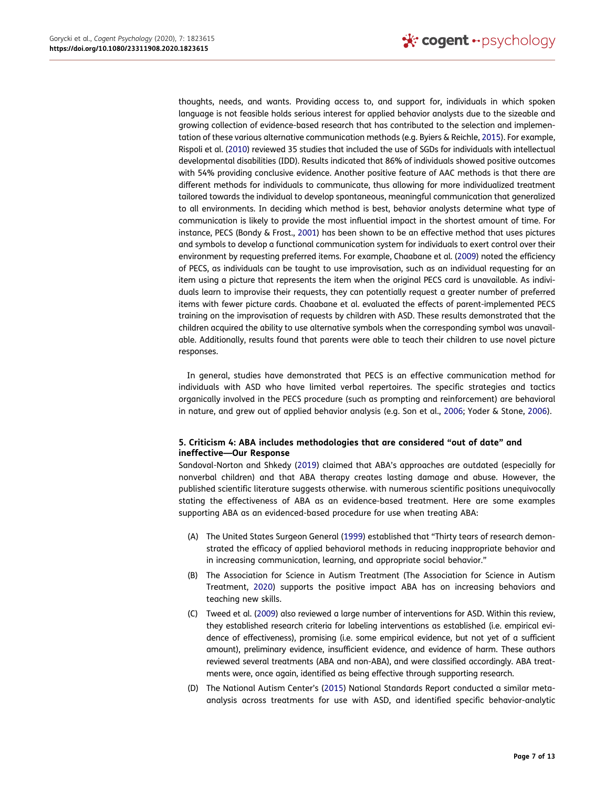<span id="page-7-0"></span>thoughts, needs, and wants. Providing access to, and support for, individuals in which spoken language is not feasible holds serious interest for applied behavior analysts due to the sizeable and growing collection of evidence-based research that has contributed to the selection and implementation of these various alternative communication methods (e.g. Byiers & Reichle, [2015\)](#page-10-7). For example, Rispoli et al. ([2010\)](#page-11-21) reviewed 35 studies that included the use of SGDs for individuals with intellectual developmental disabilities (IDD). Results indicated that 86% of individuals showed positive outcomes with 54% providing conclusive evidence. Another positive feature of AAC methods is that there are different methods for individuals to communicate, thus allowing for more individualized treatment tailored towards the individual to develop spontaneous, meaningful communication that generalized to all environments. In deciding which method is best, behavior analysts determine what type of communication is likely to provide the most influential impact in the shortest amount of time. For instance, PECS (Bondy & Frost., [2001](#page-10-9)) has been shown to be an effective method that uses pictures and symbols to develop a functional communication system for individuals to exert control over their environment by requesting preferred items. For example, Chaabane et al. ([2009\)](#page-10-8) noted the efficiency of PECS, as individuals can be taught to use improvisation, such as an individual requesting for an item using a picture that represents the item when the original PECS card is unavailable. As individuals learn to improvise their requests, they can potentially request a greater number of preferred items with fewer picture cards. Chaabane et al. evaluated the effects of parent-implemented PECS training on the improvisation of requests by children with ASD. These results demonstrated that the children acquired the ability to use alternative symbols when the corresponding symbol was unavailable. Additionally, results found that parents were able to teach their children to use novel picture responses.

<span id="page-7-1"></span>In general, studies have demonstrated that PECS is an effective communication method for individuals with ASD who have limited verbal repertoires. The specific strategies and tactics organically involved in the PECS procedure (such as prompting and reinforcement) are behavioral in nature, and grew out of applied behavior analysis (e.g. Son et al., [2006;](#page-12-11) Yoder & Stone, [2006](#page-12-12)).

## **5. Criticism 4: ABA includes methodologies that are considered "out of date" and ineffective—Our Response**

Sandoval-Norton and Shkedy ([2019\)](#page-12-3) claimed that ABA's approaches are outdated (especially for nonverbal children) and that ABA therapy creates lasting damage and abuse. However, the published scientific literature suggests otherwise. with numerous scientific positions unequivocally stating the effectiveness of ABA as an evidence-based treatment. Here are some examples supporting ABA as an evidenced-based procedure for use when treating ABA:

- (A) The United States Surgeon General [\(1999\)](#page-12-2) established that "Thirty tears of research demonstrated the efficacy of applied behavioral methods in reducing inappropriate behavior and in increasing communication, learning, and appropriate social behavior."
- <span id="page-7-2"></span>(B) The Association for Science in Autism Treatment (The Association for Science in Autism Treatment, [2020\)](#page-12-13) supports the positive impact ABA has on increasing behaviors and teaching new skills.
- (C) Tweed et al. ([2009\)](#page-12-1) also reviewed a large number of interventions for ASD. Within this review, they established research criteria for labeling interventions as established (i.e. empirical evidence of effectiveness), promising (i.e. some empirical evidence, but not yet of a sufficient amount), preliminary evidence, insufficient evidence, and evidence of harm. These authors reviewed several treatments (ABA and non-ABA), and were classified accordingly. ABA treatments were, once again, identified as being effective through supporting research.
- (D) The National Autism Center's ([2015\)](#page-11-1) National Standards Report conducted a similar metaanalysis across treatments for use with ASD, and identified specific behavior-analytic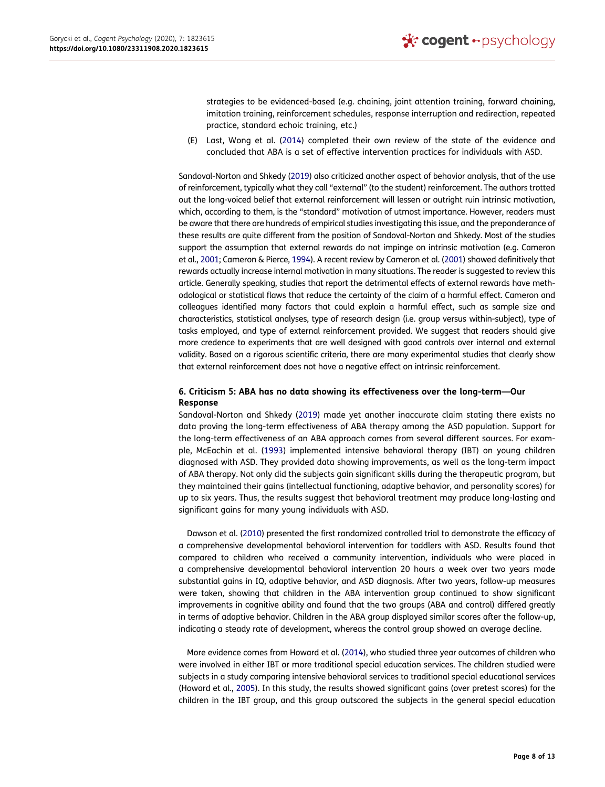strategies to be evidenced-based (e.g. chaining, joint attention training, forward chaining, imitation training, reinforcement schedules, response interruption and redirection, repeated practice, standard echoic training, etc.)

<span id="page-8-3"></span>(E) Last, Wong et al. [\(2014\)](#page-12-14) completed their own review of the state of the evidence and concluded that ABA is a set of effective intervention practices for individuals with ASD.

<span id="page-8-0"></span>Sandoval-Norton and Shkedy ([2019\)](#page-12-3) also criticized another aspect of behavior analysis, that of the use of reinforcement, typically what they call "external" (to the student) reinforcement. The authors trotted out the long-voiced belief that external reinforcement will lessen or outright ruin intrinsic motivation, which, according to them, is the "standard" motivation of utmost importance. However, readers must be aware that there are hundreds of empirical studies investigating this issue, and the preponderance of these results are quite different from the position of Sandoval-Norton and Shkedy. Most of the studies support the assumption that external rewards do not impinge on intrinsic motivation (e.g. Cameron et al., [2001;](#page-10-10) Cameron & Pierce, [1994\)](#page-10-11). A recent review by Cameron et al. ([2001](#page-10-10)) showed definitively that rewards actually increase internal motivation in many situations. The reader is suggested to review this article. Generally speaking, studies that report the detrimental effects of external rewards have methodological or statistical flaws that reduce the certainty of the claim of a harmful effect. Cameron and colleagues identified many factors that could explain a harmful effect, such as sample size and characteristics, statistical analyses, type of research design (i.e. group versus within-subject), type of tasks employed, and type of external reinforcement provided. We suggest that readers should give more credence to experiments that are well designed with good controls over internal and external validity. Based on a rigorous scientific criteria, there are many experimental studies that clearly show that external reinforcement does not have a negative effect on intrinsic reinforcement.

## **6. Criticism 5: ABA has no data showing its effectiveness over the long-term—Our Response**

<span id="page-8-2"></span>Sandoval-Norton and Shkedy [\(2019\)](#page-12-3) made yet another inaccurate claim stating there exists no data proving the long-term effectiveness of ABA therapy among the ASD population. Support for the long-term effectiveness of an ABA approach comes from several different sources. For example, McEachin et al. ([1993](#page-11-23)) implemented intensive behavioral therapy (IBT) on young children diagnosed with ASD. They provided data showing improvements, as well as the long-term impact of ABA therapy. Not only did the subjects gain significant skills during the therapeutic program, but they maintained their gains (intellectual functioning, adaptive behavior, and personality scores) for up to six years. Thus, the results suggest that behavioral treatment may produce long-lasting and significant gains for many young individuals with ASD.

<span id="page-8-1"></span>Dawson et al. ([2010\)](#page-11-24) presented the first randomized controlled trial to demonstrate the efficacy of a comprehensive developmental behavioral intervention for toddlers with ASD. Results found that compared to children who received a community intervention, individuals who were placed in a comprehensive developmental behavioral intervention 20 hours a week over two years made substantial gains in IQ, adaptive behavior, and ASD diagnosis. After two years, follow-up measures were taken, showing that children in the ABA intervention group continued to show significant improvements in cognitive ability and found that the two groups (ABA and control) differed greatly in terms of adaptive behavior. Children in the ABA group displayed similar scores after the follow-up, indicating a steady rate of development, whereas the control group showed an average decline.

More evidence comes from Howard et al. [\(2014](#page-11-8)), who studied three year outcomes of children who were involved in either IBT or more traditional special education services. The children studied were subjects in a study comparing intensive behavioral services to traditional special educational services (Howard et al., [2005\)](#page-11-7). In this study, the results showed significant gains (over pretest scores) for the children in the IBT group, and this group outscored the subjects in the general special education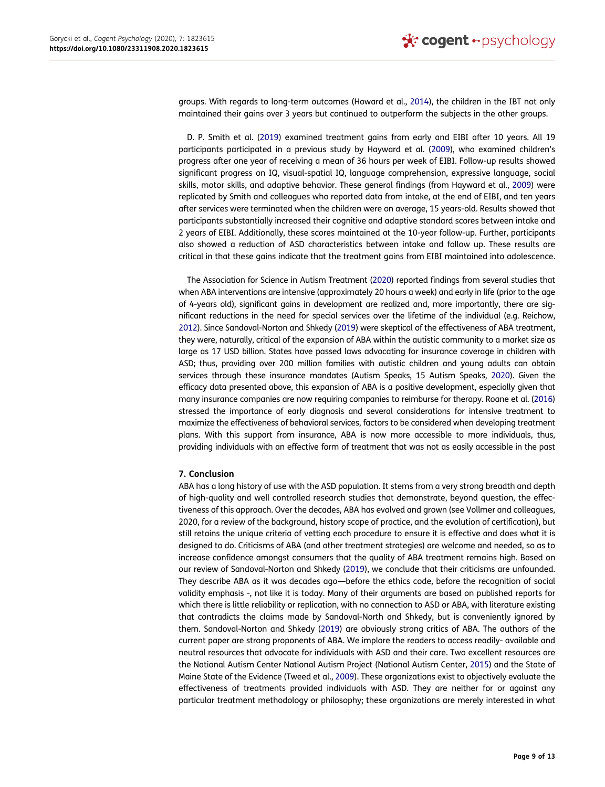groups. With regards to long-term outcomes (Howard et al., [2014](#page-11-8)), the children in the IBT not only maintained their gains over 3 years but continued to outperform the subjects in the other groups.

<span id="page-9-4"></span><span id="page-9-1"></span>D. P. Smith et al. ([2019\)](#page-12-15) examined treatment gains from early and EIBI after 10 years. All 19 participants participated in a previous study by Hayward et al. [\(2009](#page-11-25)), who examined children's progress after one year of receiving a mean of 36 hours per week of EIBI. Follow-up results showed significant progress on IQ, visual-spatial IQ, language comprehension, expressive language, social skills, motor skills, and adaptive behavior. These general findings (from Hayward et al., [2009](#page-11-25)) were replicated by Smith and colleagues who reported data from intake, at the end of EIBI, and ten years after services were terminated when the children were on average, 15 years-old. Results showed that participants substantially increased their cognitive and adaptive standard scores between intake and 2 years of EIBI. Additionally, these scores maintained at the 10-year follow-up. Further, participants also showed a reduction of ASD characteristics between intake and follow up. These results are critical in that these gains indicate that the treatment gains from EIBI maintained into adolescence.

<span id="page-9-2"></span><span id="page-9-0"></span>The Association for Science in Autism Treatment [\(2020](#page-12-13)) reported findings from several studies that when ABA interventions are intensive (approximately 20 hours a week) and early in life (prior to the age of 4-years old), significant gains in development are realized and, more importantly, there are significant reductions in the need for special services over the lifetime of the individual (e.g. Reichow, [2012\)](#page-11-26). Since Sandoval-Norton and Shkedy [\(2019](#page-12-3)) were skeptical of the effectiveness of ABA treatment, they were, naturally, critical of the expansion of ABA within the autistic community to a market size as large as 17 USD billion. States have passed laws advocating for insurance coverage in children with ASD; thus, providing over 200 million families with autistic children and young adults can obtain services through these insurance mandates (Autism Speaks, 15 Autism Speaks, [2020\)](#page-10-12). Given the efficacy data presented above, this expansion of ABA is a positive development, especially given that many insurance companies are now requiring companies to reimburse for therapy. Roane et al. [\(2016\)](#page-12-16) stressed the importance of early diagnosis and several considerations for intensive treatment to maximize the effectiveness of behavioral services, factors to be considered when developing treatment plans. With this support from insurance, ABA is now more accessible to more individuals, thus, providing individuals with an effective form of treatment that was not as easily accessible in the past

### <span id="page-9-3"></span>**7. Conclusion**

ABA has a long history of use with the ASD population. It stems from a very strong breadth and depth of high-quality and well controlled research studies that demonstrate, beyond question, the effectiveness of this approach. Over the decades, ABA has evolved and grown (see Vollmer and colleagues, 2020, for a review of the background, history scope of practice, and the evolution of certification), but still retains the unique criteria of vetting each procedure to ensure it is effective and does what it is designed to do. Criticisms of ABA (and other treatment strategies) are welcome and needed, so as to increase confidence amongst consumers that the quality of ABA treatment remains high. Based on our review of Sandoval-Norton and Shkedy [\(2019](#page-12-3)), we conclude that their criticisms are unfounded. They describe ABA as it was decades ago—before the ethics code, before the recognition of social validity emphasis -, not like it is today. Many of their arguments are based on published reports for which there is little reliability or replication, with no connection to ASD or ABA, with literature existing that contradicts the claims made by Sandoval-North and Shkedy, but is conveniently ignored by them. Sandoval-Norton and Shkedy [\(2019](#page-12-3)) are obviously strong critics of ABA. The authors of the current paper are strong proponents of ABA. We implore the readers to access readily- available and neutral resources that advocate for individuals with ASD and their care. Two excellent resources are the National Autism Center National Autism Project (National Autism Center, [2015\)](#page-11-1) and the State of Maine State of the Evidence (Tweed et al., [2009\)](#page-12-1). These organizations exist to objectively evaluate the effectiveness of treatments provided individuals with ASD. They are neither for or against any particular treatment methodology or philosophy; these organizations are merely interested in what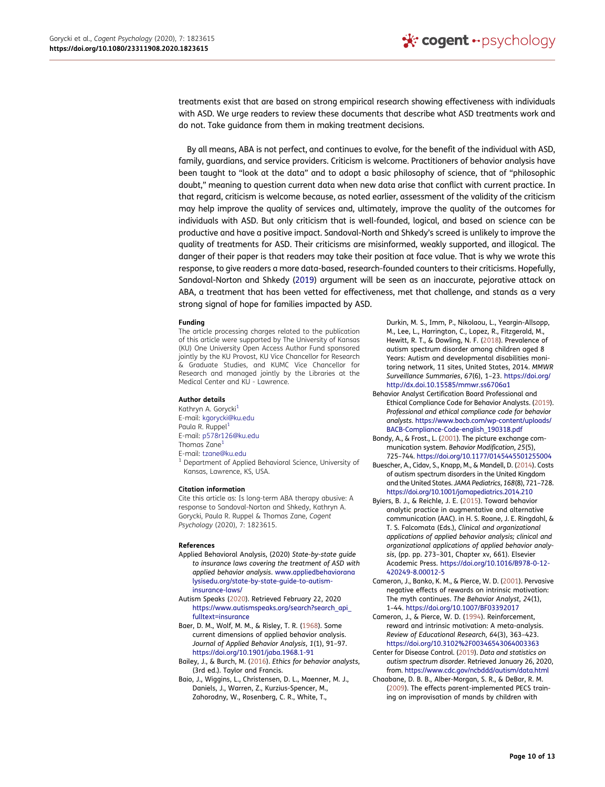treatments exist that are based on strong empirical research showing effectiveness with individuals with ASD. We urge readers to review these documents that describe what ASD treatments work and do not. Take guidance from them in making treatment decisions.

By all means, ABA is not perfect, and continues to evolve, for the benefit of the individual with ASD, family, guardians, and service providers. Criticism is welcome. Practitioners of behavior analysis have been taught to "look at the data" and to adopt a basic philosophy of science, that of "philosophic doubt," meaning to question current data when new data arise that conflict with current practice. In that regard, criticism is welcome because, as noted earlier, assessment of the validity of the criticism may help improve the quality of services and, ultimately, improve the quality of the outcomes for individuals with ASD. But only criticism that is well-founded, logical, and based on science can be productive and have a positive impact. Sandoval-North and Shkedy's screed is unlikely to improve the quality of treatments for ASD. Their criticisms are misinformed, weakly supported, and illogical. The danger of their paper is that readers may take their position at face value. That is why we wrote this response, to give readers a more data-based, research-founded counters to their criticisms. Hopefully, Sandoval-Norton and Shkedy [\(2019\)](#page-12-3) argument will be seen as an inaccurate, pejorative attack on ABA, a treatment that has been vetted for effectiveness, met that challenge, and stands as a very strong signal of hope for families impacted by ASD.

#### **Funding**

The article processing charges related to the publication of this article were supported by The University of Kansas (KU) One University Open Access Author Fund sponsored jointly by the KU Provost, KU Vice Chancellor for Research & Graduate Studies, and KUMC Vice Chancellor for Research and managed jointly by the Libraries at the Medical Center and KU - Lawrence.

#### **Author details**

Kathryn A. Gorycki<sup>[1](#page-1-0)</sup> E-mail: kgorycki@ku.edu Paula R. Ruppel<sup>1</sup> E-mail: p578r126@ku.edu Thomas Zan[e1](#page-1-0) E-mail: tzane@ku.edu<br><sup>1</sup> Department of Applied Behavioral Science, University of

<span id="page-10-0"></span>Kansas, Lawrence, KS, USA.

#### **Citation information**

Cite this article as: Is long-term ABA therapy abusive: A response to Sandoval-Norton and Shkedy, Kathryn A. Gorycki, Paula R. Ruppel & Thomas Zane*, Cogent Psychology* (2020), 7: 1823615.

#### **References**

- Applied Behavioral Analysis, (2020) *State-by-state guide to insurance laws covering the treatment of ASD with applied behavior analysis*. [www.appliedbehaviorana](http://www.appliedbehavioranalysisedu.org/state-by-state-guide-to-autism-insurance-laws/)  [lysisedu.org/state-by-state-guide-to-autism](http://www.appliedbehavioranalysisedu.org/state-by-state-guide-to-autism-insurance-laws/)[insurance-laws/](http://www.appliedbehavioranalysisedu.org/state-by-state-guide-to-autism-insurance-laws/)
- <span id="page-10-12"></span>Autism Speaks [\(2020](#page-9-0)). Retrieved February 22, 2020 [https://www.autismspeaks.org/search?search\\_api\\_](https://www.autismspeaks.org/search?search_api_fulltext=insurance) [fulltext=insurance](https://www.autismspeaks.org/search?search_api_fulltext=insurance)
- <span id="page-10-4"></span>Baer, D. M., Wolf, M. M., & Risley, T. R. [\(1968](#page-2-0)). Some current dimensions of applied behavior analysis. *Journal of Applied Behavior Analysis*, *1*(1), 91–97. <https://doi.org/10.1901/jaba.1968.1-91>
- <span id="page-10-6"></span>Bailey, J., & Burch, M. [\(2016](#page-4-0)). *Ethics for behavior analysts*, (3rd ed.). Taylor and Francis.
- <span id="page-10-1"></span>Baio, J., Wiggins, L., Christensen, D. L., Maenner, M. J., Daniels, J., Warren, Z., Kurzius-Spencer, M., Zahorodny, W., Rosenberg, C. R., White, T.,

Durkin, M. S., Imm, P., Nikolaou, L., Yeargin-Allsopp, M., Lee, L., Harrington, C., Lopez, R., Fitzgerald, M., Hewitt, R. T., & Dowling, N. F. ([2018\)](#page-1-1). Prevalence of autism spectrum disorder among children aged 8 Years: Autism and developmental disabilities monitoring network, 11 sites, United States, 2014. *MMWR Surveillance Summaries*, *67*(6), 1–23. [https://doi.org/](https://doi.org/http://dx.doi.10.15585/mmwr.ss6706a1)  [http://dx.doi.10.15585/mmwr.ss6706a1](https://doi.org/http://dx.doi.10.15585/mmwr.ss6706a1)

- <span id="page-10-5"></span>Behavior Analyst Certification Board Professional and Ethical Compliance Code for Behavior Analysts. [\(2019](#page-2-1)). *Professional and ethical compliance code for behavior analysts*. [https://www.bacb.com/wp-content/uploads/](https://www.bacb.com/wp-content/uploads/BACB-Compliance-Code-english_190318.pdf)  [BACB-Compliance-Code-english\\_190318.pdf](https://www.bacb.com/wp-content/uploads/BACB-Compliance-Code-english_190318.pdf)
- <span id="page-10-9"></span>Bondy, A., & Frost., L. [\(2001\)](#page-7-0). The picture exchange communication system. *Behavior Modification*, *25*(5), 725–744. <https://doi.org/10.1177/0145445501255004>
- <span id="page-10-3"></span>Buescher, A., Cidav, S., Knapp, M., & Mandell, D. ([2014](#page-1-2)). Costs of autism spectrum disorders in the United Kingdom and the United States. *JAMA Pediatrics*, *168*(8), 721–728. <https://doi.org/10.1001/jamapediatrics.2014.210>
- <span id="page-10-7"></span>Byiers, B. J., & Reichle, J. E. [\(2015\)](#page-6-0). Toward behavior analytic practice in augmentative and alternative communication (AAC). in H. S. Roane, J. E. Ringdahl, & T. S. Falcomata (Eds.), *Clinical and organizational applications of applied behavior analysis; clinical and organizational applications of applied behavior analysis*, (pp. pp. 273–301, Chapter xv, 661). Elsevier Academic Press. [https://doi.org/10.1016/B978-0-12-](https://doi.org/10.1016/B978-0-12-420249-8.00012-5) [420249-8.00012-5](https://doi.org/10.1016/B978-0-12-420249-8.00012-5)
- <span id="page-10-10"></span>Cameron, J., Banko, K. M., & Pierce, W. D. ([2001\)](#page-8-0). Pervasive negative effects of rewards on intrinsic motivation: The myth continues. *The Behavior Analyst*, *24*(1), 1–44. <https://doi.org/10.1007/BF03392017>
- <span id="page-10-11"></span>Cameron, J., & Pierce, W. D. ([1994\)](#page-8-0). Reinforcement, reward and intrinsic motivation: A meta-analysis. *Review of Educational Research*, *64*(3), 363–423. <https://doi.org/10.3102%2F00346543064003363>
- <span id="page-10-2"></span>Center for Disease Control. [\(2019\)](#page-1-3). *Data and statistics on autism spectrum disorder*. Retrieved January 26, 2020, from. <https://www.cdc.gov/ncbddd/autism/data.html>
- <span id="page-10-8"></span>Chaabane, D. B. B., Alber-Morgan, S. R., & DeBar, R. M. ([2009\)](#page-6-0). The effects parent-implemented PECS training on improvisation of mands by children with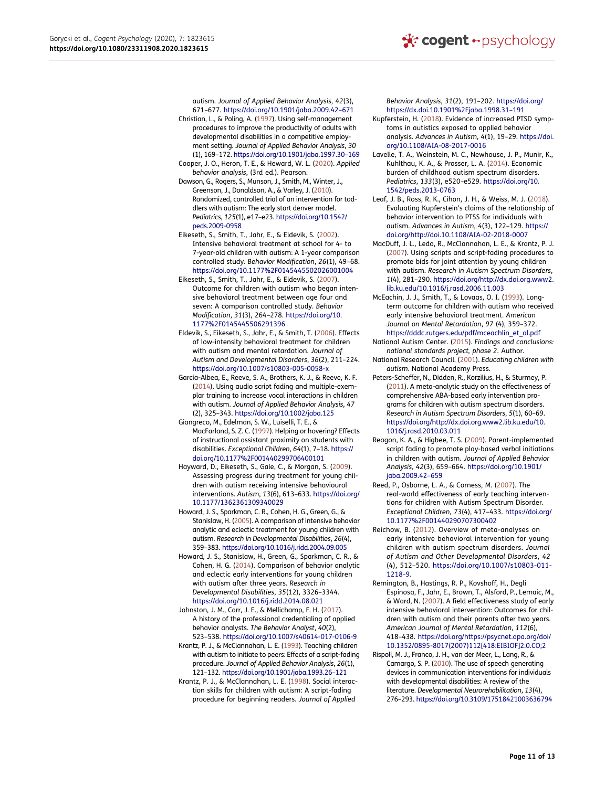<span id="page-11-10"></span>autism. *Journal of Applied Behavior Analysis*, *42*(3), 671–677. [https://doi.org/10.1901/jaba.2009.42–671](https://doi.org/10.1901/jaba.2009.42%2013671) Christian, L., & Poling, A. ([1997](#page-5-0)). Using self-management procedures to improve the productivity of adults with developmental disabilities in a competitive employment setting. *Journal of Applied Behavior Analysis*, *30*  (1), 169–172. [https://doi.org/10.1901/jaba.1997.30–169](https://doi.org/10.1901/jaba.1997.30%2013169)

- <span id="page-11-2"></span>Cooper, J. O., Heron, T. E., & Heward, W. L. [\(2020](#page-2-2)). *Applied behavior analysis*, (3rd ed.). Pearson.
- <span id="page-11-24"></span>Dawson, G., Rogers, S., Munson, J., Smith, M., Winter, J., Greenson, J., Donaldson, A., & Varley, J. [\(2010\)](#page-8-1). Randomized, controlled trial of an intervention for toddlers with autism: The early start denver model. *Pediatrics*, *125*(1), e17–e23. [https://doi.org/10.1542/](https://doi.org/10.1542/peds.2009-0958)  [peds.2009-0958](https://doi.org/10.1542/peds.2009-0958)
- <span id="page-11-6"></span>Eikeseth, S., Smith, T., Jahr, E., & Eldevik, S. ([2002\)](#page-4-1). Intensive behavioral treatment at school for 4- to 7-year-old children with autism: A 1-year comparison controlled study. *Behavior Modification*, *26*(1), 49–68. <https://doi.org/10.1177%2F0145445502026001004>
- <span id="page-11-17"></span>Eikeseth, S., Smith, T., Jahr, E., & Eldevik, S. ([2007\)](#page-6-1). Outcome for children with autism who began intensive behavioral treatment between age four and seven: A comparison controlled study. *Behavior Modification*, *31*(3), 264–278. [https://doi.org/10.](https://doi.org/10.1177%2F0145445506291396)  [1177%2F0145445506291396](https://doi.org/10.1177%2F0145445506291396)
- <span id="page-11-18"></span>Eldevik, S., Eikeseth, S., Jahr, E., & Smith, T. [\(2006](#page-6-2)). Effects of low-intensity behavioral treatment for children with autism and mental retardation. *Journal of Autism and Developmental Disorders*, *36*(2), 211–224. <https://doi.org/10.1007/s10803-005-0058-x>
- <span id="page-11-11"></span>Garcia-Albea, E., Reeve, S. A., Brothers, K. J., & Reeve, K. F. [\(2014\)](#page-5-1). Using audio script fading and multiple-exemplar training to increase vocal interactions in children with autism. *Journal of Applied Behavior Analysis*, *47*  (2), 325–343. <https://doi.org/10.1002/jaba.125>
- <span id="page-11-9"></span>Giangreco, M., Edelman, S. W., Luiselli, T. E., & MacFarland, S. Z. C. [\(1997\)](#page-5-2). Helping or hovering? Effects of instructional assistant proximity on students with disabilities. *Exceptional Children*, *64*(1), 7–18. [https://](https://doi.org/10.1177%2F001440299706400101)  [doi.org/10.1177%2F001440299706400101](https://doi.org/10.1177%2F001440299706400101)
- <span id="page-11-25"></span>Hayward, D., Eikeseth, S., Gale, C., & Morgan, S. ([2009\)](#page-9-1). Assessing progress during treatment for young children with autism receiving intensive behavioural interventions. *Autism*, *13*(6), 613–633. [https://doi.org/](https://doi.org/10.1177/1362361309340029) [10.1177/1362361309340029](https://doi.org/10.1177/1362361309340029)
- <span id="page-11-7"></span>Howard, J. S., Sparkman, C. R., Cohen, H. G., Green, G., & Stanislaw, H. [\(2005](#page-4-1)). A comparison of intensive behavior analytic and eclectic treatment for young children with autism. *Research in Developmental Disabilities*, *26*(4), 359–383. <https://doi.org/10.1016/j.ridd.2004.09.005>
- <span id="page-11-8"></span>Howard, J. S., Stanislaw, H., Green, G., Sparkman, C. R., & Cohen, H. G. [\(2014](#page-4-1)). Comparison of behavior analytic and eclectic early interventions for young children with autism after three years. *Research in Developmental Disabilities*, *35*(12), 3326–3344. <https://doi.org/10.1016/j.ridd.2014.08.021>
- <span id="page-11-3"></span>Johnston, J. M., Carr, J. E., & Mellichamp, F. H. ([2017\)](#page-3-0). A history of the professional credentialing of applied behavior analysts. *The Behavior Analyst*, *40*(2), 523–538. <https://doi.org/10.1007/s40614-017-0106-9>
- <span id="page-11-12"></span>Krantz, P. J., & McClannahan, L. E. ([1993](#page-5-3)). Teaching children with autism to initiate to peers: Effects of a script-fading procedure. *Journal of Applied Behavior Analysis*, *26*(1), 121–132. [https://doi.org/10.1901/jaba.1993.26–121](https://doi.org/10.1901/jaba.1993.26%2013121)
- <span id="page-11-13"></span>Krantz, P. J., & McClannahan, L. E. ([1998\)](#page-5-3). Social interaction skills for children with autism: A script-fading procedure for beginning readers. *Journal of Applied*

*Behavior Analysis*, *31*(2), 191–202. [https://doi.org/](https://doi.org/https://dx.doi.10.1901%2Fjaba.1998.31%2013191) [https://dx.doi.10.1901%2Fjaba.1998.31–191](https://doi.org/https://dx.doi.10.1901%2Fjaba.1998.31%2013191)

- <span id="page-11-4"></span>Kupferstein, H. ([2018](#page-4-2)). Evidence of increased PTSD symptoms in autistics exposed to applied behavior analysis. *Advances in Autism*, *4*(1), 19–29. [https://doi.](https://doi.org/10.1108/AIA-08-2017-0016) [org/10.1108/AIA-08-2017-0016](https://doi.org/10.1108/AIA-08-2017-0016)
- <span id="page-11-0"></span>Lavelle, T. A., Weinstein, M. C., Newhouse, J. P., Munir, K., Kuhlthau, K. A., & Prosser, L. A. [\(2014](#page-1-2)). Economic burden of childhood autism spectrum disorders. *Pediatrics*, *133*(3), e520–e529. [https://doi.org/10.](https://doi.org/10.1542/peds.2013-0763)  [1542/peds.2013-0763](https://doi.org/10.1542/peds.2013-0763)
- <span id="page-11-5"></span>Leaf, J. B., Ross, R. K., Cihon, J. H., & Weiss, M. J. [\(2018\)](#page-4-3). Evaluating Kupferstein's claims of the relationship of behavior intervention to PTSS for individuals with autism. *Advances in Autism*, *4*(3), 122–129. [https://](https://doi.org/http://doi.10.1108/AIA-02-2018-0007) [doi.org/http://doi.10.1108/AIA-02-2018-0007](https://doi.org/http://doi.10.1108/AIA-02-2018-0007)
- <span id="page-11-14"></span>MacDuff, J. L., Ledo, R., McClannahan, L. E., & Krantz, P. J. ([2007\)](#page-5-3). Using scripts and script-fading procedures to promote bids for joint attention by young children with autism. *Research in Autism Spectrum Disorders*, *1*(4), 281–290. [https://doi.org/http://dx.doi.org.www2.](https://doi.org/http://dx.doi.org.www2.lib.ku.edu/10.1016/j.rasd.2006.11.003)  [lib.ku.edu/10.1016/j.rasd.2006.11.003](https://doi.org/http://dx.doi.org.www2.lib.ku.edu/10.1016/j.rasd.2006.11.003)
- <span id="page-11-23"></span>McEachin, J. J., Smith, T., & Lovaas, O. I. ([1993\)](#page-8-2). Longterm outcome for children with autism who received early intensive behavioral treatment. *American Journal on Mental Retardation*, *97* (4), 359–372. [https://dddc.rutgers.edu/pdf/mceachlin\\_et\\_al.pdf](https://dddc.rutgers.edu/pdf/mceachlin_et_al.pdf)
- <span id="page-11-1"></span>National Autism Center. [\(2015](#page-2-3)). *Findings and conclusions: national standards project, phase 2*. Author.
- <span id="page-11-22"></span>National Research Council. [\(2001](#page-6-3)). *Educating children with autism*. National Academy Press.
- <span id="page-11-16"></span>Peters-Scheffer, N., Didden, R., Korzilius, H., & Sturmey, P. ([2011](#page-6-4)). A meta-analytic study on the effectiveness of comprehensive ABA-based early intervention programs for children with autism spectrum disorders. *Research in Autism Spectrum Disorders*, *5*(1), 60–69. [https://doi.org/http://dx.doi.org.www2.lib.ku.edu/10.](https://doi.org/http://dx.doi.org.www2.lib.ku.edu/10.1016/j.rasd.2010.03.011) [1016/j.rasd.2010.03.011](https://doi.org/http://dx.doi.org.www2.lib.ku.edu/10.1016/j.rasd.2010.03.011)
- <span id="page-11-15"></span>Reagon, K. A., & Higbee, T. S. [\(2009](#page-5-3)). Parent-implemented script fading to promote play-based verbal initiations in children with autism. *Journal of Applied Behavior Analysis*, *42*(3), 659–664. [https://doi.org/10.1901/](https://doi.org/10.1901/jaba.2009.42%2013659)  [jaba.2009.42–659](https://doi.org/10.1901/jaba.2009.42%2013659)
- <span id="page-11-19"></span>Reed, P., Osborne, L. A., & Corness, M. ([2007](#page-6-2)). The real-world effectiveness of early teaching interventions for children with Autism Spectrum Disorder. *Exceptional Children*, *73*(4), 417–433. [https://doi.org/](https://doi.org/10.1177%2F001440290707300402) [10.1177%2F001440290707300402](https://doi.org/10.1177%2F001440290707300402)
- <span id="page-11-26"></span>Reichow, B. ([2012](#page-9-2)). Overview of meta-analyses on early intensive behavioral intervention for young children with autism spectrum disorders. *Journal of Autism and Other Developmental Disorders*, *42*  (4), 512–520. [https://doi.org/10.1007/s10803-011-](https://doi.org/10.1007/s10803-011-1218-9) [1218-9.](https://doi.org/10.1007/s10803-011-1218-9)
- <span id="page-11-20"></span>Remington, B., Hastings, R. P., Kovshoff, H., Degli Espinosa, F., Jahr, E., Brown, T., Alsford, P., Lemaic, M., & Ward, N. ([2007\)](#page-6-2). A field effectiveness study of early intensive behavioral intervention: Outcomes for children with autism and their parents after two years. *American Journal of Mental Retardation*, *112*(6), 418–438. [https://doi.org/https://psycnet.apa.org/doi/](https://doi.org/https://psycnet.apa.org/doi/10.1352/0895-8017(2007)112[418:EIBIOF]2.0.CO;2) [10.1352/0895-8017\(2007\)112\[418:EIBIOF\]2.0.CO;2](https://doi.org/https://psycnet.apa.org/doi/10.1352/0895-8017(2007)112[418:EIBIOF]2.0.CO;2)
- <span id="page-11-21"></span>Rispoli, M. J., Franco, J. H., van der Meer, L., Lang, R., & Camargo, S. P. [\(2010](#page-6-0)). The use of speech generating devices in communication interventions for individuals with developmental disabilities: A review of the literature. *Developmental Neurorehabilitation*, *13*(4), 276–293.<https://doi.org/10.3109/17518421003636794>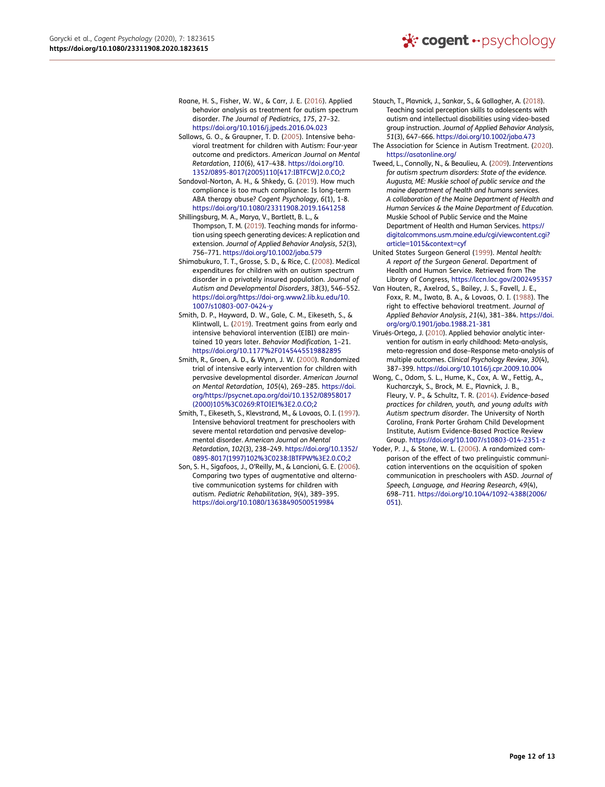<span id="page-12-16"></span>Roane, H. S., Fisher, W. W., & Carr, J. E. ([2016\)](#page-9-3). Applied behavior analysis as treatment for autism spectrum disorder. *The Journal of Pediatrics*, *175*, 27–32. <https://doi.org/10.1016/j.jpeds.2016.04.023>

<span id="page-12-7"></span>Sallows, G. O., & Graupner, T. D. ([2005\)](#page-6-2). Intensive behavioral treatment for children with Autism: Four-year outcome and predictors. *American Journal on Mental Retardation*, *110*(6), 417–438. [https://doi.org/10.](https://doi.org/10.1352/0895-8017(2005)110[417:IBTFCW]2.0.CO;2)  [1352/0895-8017\(2005\)110\[417:IBTFCW\]2.0.CO;2](https://doi.org/10.1352/0895-8017(2005)110[417:IBTFCW]2.0.CO;2)

<span id="page-12-3"></span>Sandoval-Norton, A. H., & Shkedy, G. ([2019\)](#page-2-4). How much compliance is too much compliance: Is long-term ABA therapy abuse? *Cogent Psychology*, *6*(1), 1-8. <https://doi.org/10.1080/23311908.2019.1641258>

- <span id="page-12-10"></span>Shillingsburg, M. A., Marya, V., Bartlett, B. L., & Thompson, T. M. [\(2019\)](#page-6-5). Teaching mands for information using speech generating devices: A replication and extension. *Journal of Applied Behavior Analysis*, *52*(3), 756–771.<https://doi.org/10.1002/jaba.579>
- <span id="page-12-0"></span>Shimabukuro, T. T., Grosse, S. D., & Rice, C. [\(2008](#page-2-5)). Medical expenditures for children with an autism spectrum disorder in a privately insured population. *Journal of Autism and Developmental Disorders*, *38*(3), 546–552. [https://doi.org/https://doi-org.www2.lib.ku.edu/10.](https://doi.org/https://doi-org.www2.lib.ku.edu/10.1007/s10803-007-0424-y) [1007/s10803-007-0424-y](https://doi.org/https://doi-org.www2.lib.ku.edu/10.1007/s10803-007-0424-y)
- <span id="page-12-15"></span>Smith, D. P., Hayward, D. W., Gale, C. M., Eikeseth, S., & Klintwall, L. [\(2019](#page-9-4)). Treatment gains from early and intensive behavioral intervention (EIBI) are maintained 10 years later. *Behavior Modification*, 1–21. <https://doi.org/10.1177%2F0145445519882895>
- <span id="page-12-9"></span>Smith, R., Groen, A. D., & Wynn, J. W. [\(2000](#page-6-6)). Randomized trial of intensive early intervention for children with pervasive developmental disorder. *American Journal on Mental Retardation*, *105*(4), 269–285. [https://doi.](https://doi.org/https://psycnet.apa.org/doi/10.1352/08958017(2000)105%3C0269:RTOIEI%3E2.0.CO;2) [org/https://psycnet.apa.org/doi/10.1352/08958017](https://doi.org/https://psycnet.apa.org/doi/10.1352/08958017(2000)105%3C0269:RTOIEI%3E2.0.CO;2)  [\(2000\)105%3C0269:RTOIEI%3E2.0.CO;2](https://doi.org/https://psycnet.apa.org/doi/10.1352/08958017(2000)105%3C0269:RTOIEI%3E2.0.CO;2)
- <span id="page-12-8"></span>Smith, T., Eikeseth, S., Klevstrand, M., & Lovaas, O. I. [\(1997\)](#page-6-6). Intensive behavioral treatment for preschoolers with severe mental retardation and pervasive developmental disorder. *American Journal on Mental Retardation*, *102*(3), 238–249. [https://doi.org/10.1352/](https://doi.org/10.1352/0895-8017(1997)102%3C0238:IBTFPW%3E2.0.CO;2) [0895-8017\(1997\)102%3C0238:IBTFPW%3E2.0.CO;2](https://doi.org/10.1352/0895-8017(1997)102%3C0238:IBTFPW%3E2.0.CO;2)
- <span id="page-12-11"></span>Son, S. H., Sigafoos, J., O'Reilly, M., & Lancioni, G. E. ([2006\)](#page-7-1). Comparing two types of augmentative and alternative communication systems for children with autism. *Pediatric Rehabilitation*, *9*(4), 389–395. <https://doi.org/10.1080/13638490500519984>
- <span id="page-12-5"></span>Stauch, T., Plavnick, J., Sankar, S., & Gallagher, A. [\(2018\)](#page-5-4). Teaching social perception skills to adolescents with autism and intellectual disabilities using video-based group instruction. *Journal of Applied Behavior Analysis*, *51*(3), 647–666. <https://doi.org/10.1002/jaba.473>
- <span id="page-12-13"></span>The Association for Science in Autism Treatment. ([2020\)](#page-7-2). <https://asatonline.org/>
- <span id="page-12-1"></span>Tweed, L., Connolly, N., & Beaulieu, A. [\(2009\)](#page-2-3). *Interventions for autism spectrum disorders: State of the evidence. Augusta, ME: Muskie school of public service and the maine department of health and humans services. A collaboration of the Maine Department of Health and Human Services & the Maine Department of Education*. Muskie School of Public Service and the Maine Department of Health and Human Services. [https://](https://digitalcommons.usm.maine.edu/cgi/viewcontent.cgi?article=1015%26context=cyf) [digitalcommons.usm.maine.edu/cgi/viewcontent.cgi?](https://digitalcommons.usm.maine.edu/cgi/viewcontent.cgi?article=1015%26context=cyf)  [article=1015&context=cyf](https://digitalcommons.usm.maine.edu/cgi/viewcontent.cgi?article=1015%26context=cyf)
- <span id="page-12-2"></span>United States Surgeon General [\(1999](#page-2-6)). *Mental health: A report of the Surgeon General*. Department of Health and Human Service. Retrieved from The Library of Congress, <https://lccn.loc.gov/2002495357>
- <span id="page-12-4"></span>Van Houten, R., Axelrod, S., Bailey, J. S., Favell, J. E., Foxx, R. M., Iwata, B. A., & Lovaas, O. I. [\(1988](#page-4-4)). The right to effective behavioral treatment. *Journal of Applied Behavior Analysis*, *21*(4), 381–384. [https://doi.](https://doi.org/org/0.1901/jaba.1988.21-381) [org/org/0.1901/jaba.1988.21-381](https://doi.org/org/0.1901/jaba.1988.21-381)
- <span id="page-12-6"></span>Virués-Ortega, J. ([2010](#page-6-4)). Applied behavior analytic intervention for autism in early childhood: Meta-analysis, meta-regression and dose–Response meta-analysis of multiple outcomes. *Clinical Psychology Review*, *30*(4), 387–399. <https://doi.org/10.1016/j.cpr.2009.10.004>
- <span id="page-12-14"></span>Wong, C., Odom, S. L., Hume, K., Cox, A. W., Fettig, A., Kucharczyk, S., Brock, M. E., Plavnick, J. B., Fleury, V. P., & Schultz, T. R. [\(2014](#page-8-3)). *Evidence-based practices for children, youth, and young adults with Autism spectrum disorder*. The University of North Carolina, Frank Porter Graham Child Development Institute, Autism Evidence-Based Practice Review Group. <https://doi.org/10.1007/s10803-014-2351-z>
- <span id="page-12-12"></span>Yoder, P. J., & Stone, W. L. ([2006\)](#page-7-1). A randomized comparison of the effect of two prelinguistic communication interventions on the acquisition of spoken communication in preschoolers with ASD. *Journal of Speech, Language, and Hearing Research*, *49*(4), 698–711. [https://doi.org/10.1044/1092-4388\(2006/](https://doi.org/10.1044/1092-4388(2006/051)  [051](https://doi.org/10.1044/1092-4388(2006/051)).